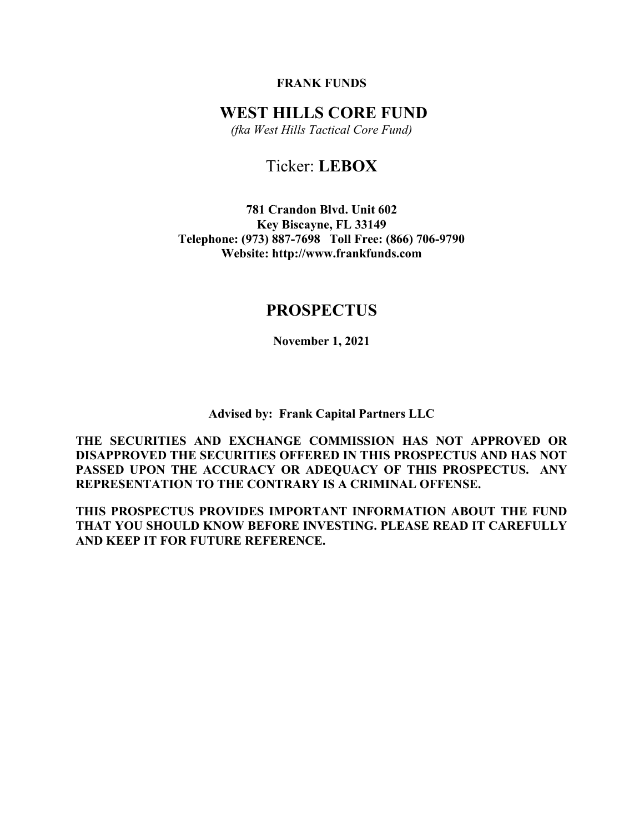# FRANK FUNDS

# WEST HILLS CORE FUND

(fka West Hills Tactical Core Fund)

# Ticker: LEBOX

781 Crandon Blvd. Unit 602 Key Biscayne, FL 33149 Telephone: (973) 887-7698 Toll Free: (866) 706-9790 Website: http://www.frankfunds.com

# PROSPECTUS

November 1, 2021

Advised by: Frank Capital Partners LLC

THE SECURITIES AND EXCHANGE COMMISSION HAS NOT APPROVED OR DISAPPROVED THE SECURITIES OFFERED IN THIS PROSPECTUS AND HAS NOT PASSED UPON THE ACCURACY OR ADEQUACY OF THIS PROSPECTUS. ANY REPRESENTATION TO THE CONTRARY IS A CRIMINAL OFFENSE.

THIS PROSPECTUS PROVIDES IMPORTANT INFORMATION ABOUT THE FUND THAT YOU SHOULD KNOW BEFORE INVESTING. PLEASE READ IT CAREFULLY AND KEEP IT FOR FUTURE REFERENCE.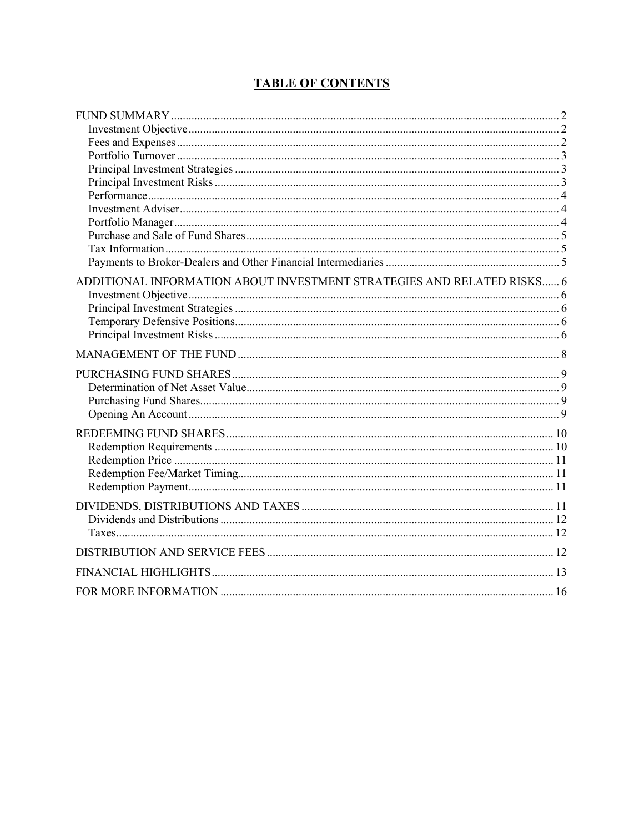# **TABLE OF CONTENTS**

| ADDITIONAL INFORMATION ABOUT INVESTMENT STRATEGIES AND RELATED RISKS 6 |  |
|------------------------------------------------------------------------|--|
|                                                                        |  |
|                                                                        |  |
|                                                                        |  |
|                                                                        |  |
|                                                                        |  |
|                                                                        |  |
|                                                                        |  |
|                                                                        |  |
|                                                                        |  |
|                                                                        |  |
|                                                                        |  |
|                                                                        |  |
|                                                                        |  |
|                                                                        |  |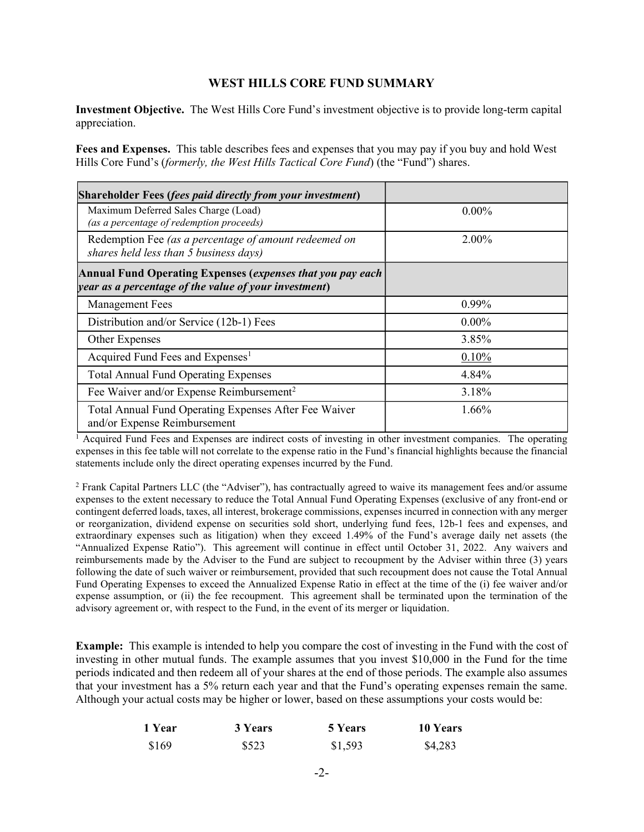# WEST HILLS CORE FUND SUMMARY

Investment Objective. The West Hills Core Fund's investment objective is to provide long-term capital appreciation.

Fees and Expenses. This table describes fees and expenses that you may pay if you buy and hold West Hills Core Fund's (formerly, the West Hills Tactical Core Fund) (the "Fund") shares.

| <b>Shareholder Fees (fees paid directly from your investment)</b>                                                   |          |
|---------------------------------------------------------------------------------------------------------------------|----------|
| Maximum Deferred Sales Charge (Load)<br>(as a percentage of redemption proceeds)                                    | $0.00\%$ |
| Redemption Fee (as a percentage of amount redeemed on<br>shares held less than 5 business days)                     | $2.00\%$ |
| Annual Fund Operating Expenses (expenses that you pay each<br>year as a percentage of the value of your investment) |          |
| <b>Management Fees</b>                                                                                              | 0.99%    |
| Distribution and/or Service (12b-1) Fees                                                                            | $0.00\%$ |
| Other Expenses                                                                                                      | 3.85%    |
| Acquired Fund Fees and Expenses <sup>1</sup>                                                                        | 0.10%    |
| <b>Total Annual Fund Operating Expenses</b>                                                                         | 4.84%    |
| Fee Waiver and/or Expense Reimbursement <sup>2</sup>                                                                | 3.18%    |
| Total Annual Fund Operating Expenses After Fee Waiver<br>and/or Expense Reimbursement                               | $1.66\%$ |

<sup>1</sup> Acquired Fund Fees and Expenses are indirect costs of investing in other investment companies. The operating expenses in this fee table will not correlate to the expense ratio in the Fund's financial highlights because the financial statements include only the direct operating expenses incurred by the Fund.

<sup>2</sup> Frank Capital Partners LLC (the "Adviser"), has contractually agreed to waive its management fees and/or assume expenses to the extent necessary to reduce the Total Annual Fund Operating Expenses (exclusive of any front-end or contingent deferred loads, taxes, all interest, brokerage commissions, expenses incurred in connection with any merger or reorganization, dividend expense on securities sold short, underlying fund fees, 12b-1 fees and expenses, and extraordinary expenses such as litigation) when they exceed 1.49% of the Fund's average daily net assets (the "Annualized Expense Ratio"). This agreement will continue in effect until October 31, 2022. Any waivers and reimbursements made by the Adviser to the Fund are subject to recoupment by the Adviser within three (3) years following the date of such waiver or reimbursement, provided that such recoupment does not cause the Total Annual Fund Operating Expenses to exceed the Annualized Expense Ratio in effect at the time of the (i) fee waiver and/or expense assumption, or (ii) the fee recoupment. This agreement shall be terminated upon the termination of the advisory agreement or, with respect to the Fund, in the event of its merger or liquidation.

Example: This example is intended to help you compare the cost of investing in the Fund with the cost of investing in other mutual funds. The example assumes that you invest \$10,000 in the Fund for the time periods indicated and then redeem all of your shares at the end of those periods. The example also assumes that your investment has a 5% return each year and that the Fund's operating expenses remain the same. Although your actual costs may be higher or lower, based on these assumptions your costs would be:

| 1 Year | 3 Years | 5 Years | 10 Years |
|--------|---------|---------|----------|
| \$169  | \$523   | \$1,593 | \$4,283  |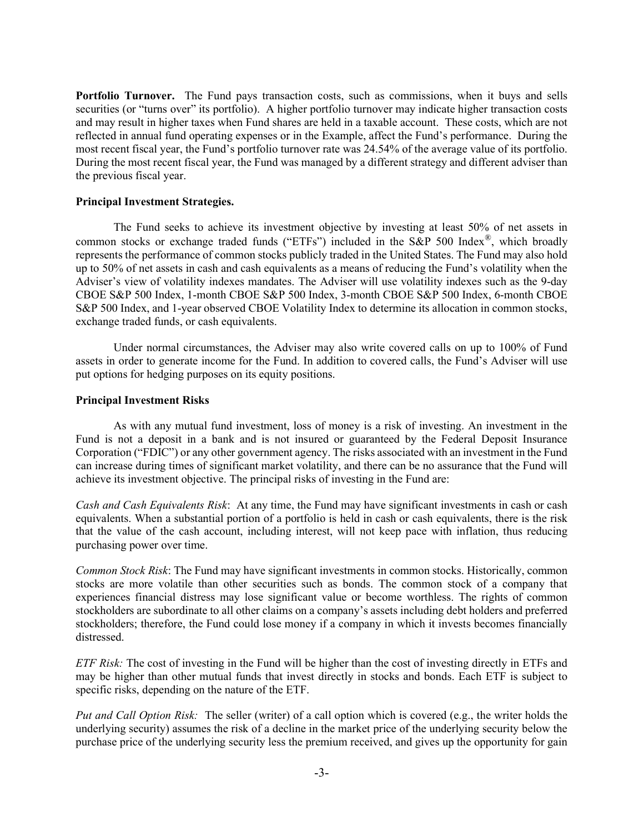Portfolio Turnover. The Fund pays transaction costs, such as commissions, when it buys and sells securities (or "turns over" its portfolio). A higher portfolio turnover may indicate higher transaction costs and may result in higher taxes when Fund shares are held in a taxable account. These costs, which are not reflected in annual fund operating expenses or in the Example, affect the Fund's performance. During the most recent fiscal year, the Fund's portfolio turnover rate was 24.54% of the average value of its portfolio. During the most recent fiscal year, the Fund was managed by a different strategy and different adviser than the previous fiscal year.

## Principal Investment Strategies.

The Fund seeks to achieve its investment objective by investing at least 50% of net assets in common stocks or exchange traded funds ("ETFs") included in the S&P 500 Index®, which broadly represents the performance of common stocks publicly traded in the United States. The Fund may also hold up to 50% of net assets in cash and cash equivalents as a means of reducing the Fund's volatility when the Adviser's view of volatility indexes mandates. The Adviser will use volatility indexes such as the 9-day CBOE S&P 500 Index, 1-month CBOE S&P 500 Index, 3-month CBOE S&P 500 Index, 6-month CBOE S&P 500 Index, and 1-year observed CBOE Volatility Index to determine its allocation in common stocks, exchange traded funds, or cash equivalents.

Under normal circumstances, the Adviser may also write covered calls on up to 100% of Fund assets in order to generate income for the Fund. In addition to covered calls, the Fund's Adviser will use put options for hedging purposes on its equity positions.

### Principal Investment Risks

As with any mutual fund investment, loss of money is a risk of investing. An investment in the Fund is not a deposit in a bank and is not insured or guaranteed by the Federal Deposit Insurance Corporation ("FDIC") or any other government agency. The risks associated with an investment in the Fund can increase during times of significant market volatility, and there can be no assurance that the Fund will achieve its investment objective. The principal risks of investing in the Fund are:

Cash and Cash Equivalents Risk: At any time, the Fund may have significant investments in cash or cash equivalents. When a substantial portion of a portfolio is held in cash or cash equivalents, there is the risk that the value of the cash account, including interest, will not keep pace with inflation, thus reducing purchasing power over time.

Common Stock Risk: The Fund may have significant investments in common stocks. Historically, common stocks are more volatile than other securities such as bonds. The common stock of a company that experiences financial distress may lose significant value or become worthless. The rights of common stockholders are subordinate to all other claims on a company's assets including debt holders and preferred stockholders; therefore, the Fund could lose money if a company in which it invests becomes financially distressed.

ETF Risk: The cost of investing in the Fund will be higher than the cost of investing directly in ETFs and may be higher than other mutual funds that invest directly in stocks and bonds. Each ETF is subject to specific risks, depending on the nature of the ETF.

Put and Call Option Risk: The seller (writer) of a call option which is covered (e.g., the writer holds the underlying security) assumes the risk of a decline in the market price of the underlying security below the purchase price of the underlying security less the premium received, and gives up the opportunity for gain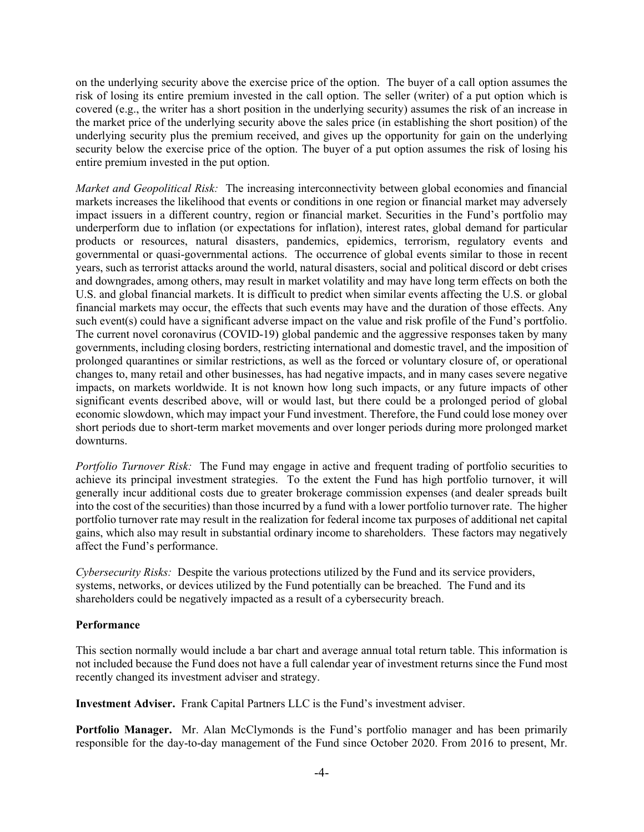on the underlying security above the exercise price of the option. The buyer of a call option assumes the risk of losing its entire premium invested in the call option. The seller (writer) of a put option which is covered (e.g., the writer has a short position in the underlying security) assumes the risk of an increase in the market price of the underlying security above the sales price (in establishing the short position) of the underlying security plus the premium received, and gives up the opportunity for gain on the underlying security below the exercise price of the option. The buyer of a put option assumes the risk of losing his entire premium invested in the put option.

Market and Geopolitical Risk: The increasing interconnectivity between global economies and financial markets increases the likelihood that events or conditions in one region or financial market may adversely impact issuers in a different country, region or financial market. Securities in the Fund's portfolio may underperform due to inflation (or expectations for inflation), interest rates, global demand for particular products or resources, natural disasters, pandemics, epidemics, terrorism, regulatory events and governmental or quasi-governmental actions. The occurrence of global events similar to those in recent years, such as terrorist attacks around the world, natural disasters, social and political discord or debt crises and downgrades, among others, may result in market volatility and may have long term effects on both the U.S. and global financial markets. It is difficult to predict when similar events affecting the U.S. or global financial markets may occur, the effects that such events may have and the duration of those effects. Any such event(s) could have a significant adverse impact on the value and risk profile of the Fund's portfolio. The current novel coronavirus (COVID-19) global pandemic and the aggressive responses taken by many governments, including closing borders, restricting international and domestic travel, and the imposition of prolonged quarantines or similar restrictions, as well as the forced or voluntary closure of, or operational changes to, many retail and other businesses, has had negative impacts, and in many cases severe negative impacts, on markets worldwide. It is not known how long such impacts, or any future impacts of other significant events described above, will or would last, but there could be a prolonged period of global economic slowdown, which may impact your Fund investment. Therefore, the Fund could lose money over short periods due to short-term market movements and over longer periods during more prolonged market downturns.

Portfolio Turnover Risk: The Fund may engage in active and frequent trading of portfolio securities to achieve its principal investment strategies. To the extent the Fund has high portfolio turnover, it will generally incur additional costs due to greater brokerage commission expenses (and dealer spreads built into the cost of the securities) than those incurred by a fund with a lower portfolio turnover rate. The higher portfolio turnover rate may result in the realization for federal income tax purposes of additional net capital gains, which also may result in substantial ordinary income to shareholders. These factors may negatively affect the Fund's performance.

Cybersecurity Risks: Despite the various protections utilized by the Fund and its service providers, systems, networks, or devices utilized by the Fund potentially can be breached. The Fund and its shareholders could be negatively impacted as a result of a cybersecurity breach.

# Performance

This section normally would include a bar chart and average annual total return table. This information is not included because the Fund does not have a full calendar year of investment returns since the Fund most recently changed its investment adviser and strategy.

Investment Adviser. Frank Capital Partners LLC is the Fund's investment adviser.

Portfolio Manager. Mr. Alan McClymonds is the Fund's portfolio manager and has been primarily responsible for the day-to-day management of the Fund since October 2020. From 2016 to present, Mr.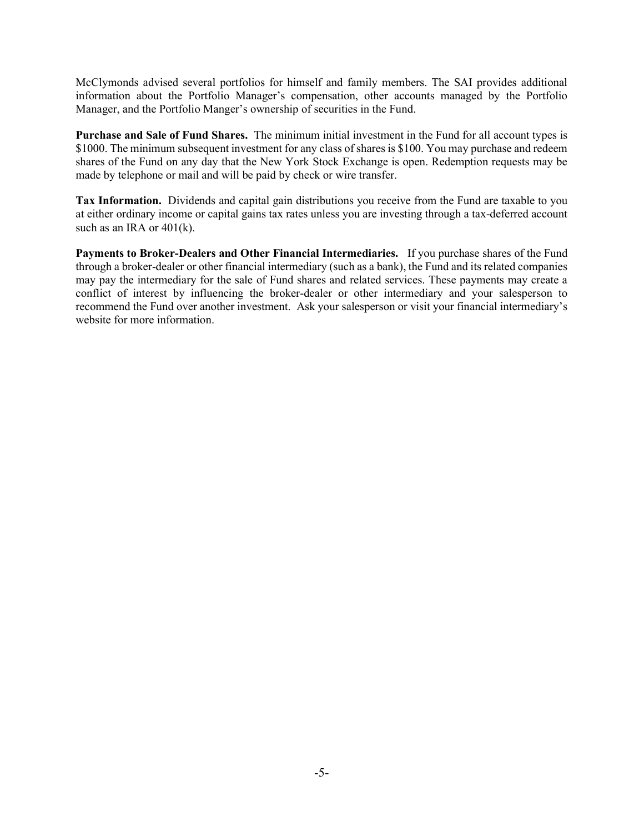McClymonds advised several portfolios for himself and family members. The SAI provides additional information about the Portfolio Manager's compensation, other accounts managed by the Portfolio Manager, and the Portfolio Manger's ownership of securities in the Fund.

Purchase and Sale of Fund Shares. The minimum initial investment in the Fund for all account types is \$1000. The minimum subsequent investment for any class of shares is \$100. You may purchase and redeem shares of the Fund on any day that the New York Stock Exchange is open. Redemption requests may be made by telephone or mail and will be paid by check or wire transfer.

Tax Information. Dividends and capital gain distributions you receive from the Fund are taxable to you at either ordinary income or capital gains tax rates unless you are investing through a tax-deferred account such as an IRA or 401(k).

Payments to Broker-Dealers and Other Financial Intermediaries. If you purchase shares of the Fund through a broker-dealer or other financial intermediary (such as a bank), the Fund and its related companies may pay the intermediary for the sale of Fund shares and related services. These payments may create a conflict of interest by influencing the broker-dealer or other intermediary and your salesperson to recommend the Fund over another investment. Ask your salesperson or visit your financial intermediary's website for more information.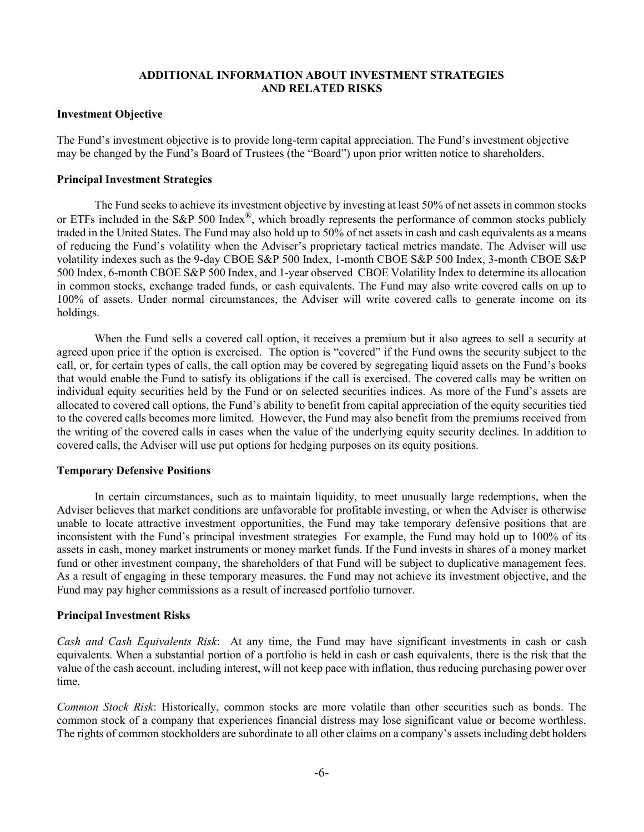# ADDITIONAL INFORMATION ABOUT INVESTMENT STRATEGIES AND RELATED RISKS

### Investment Objective

The Fund's investment objective is to provide long-term capital appreciation. The Fund's investment objective may be changed by the Fund's Board of Trustees (the "Board") upon prior written notice to shareholders.

## Principal Investment Strategies

The Fund seeks to achieve its investment objective by investing at least 50% of net assets in common stocks or ETFs included in the S&P 500 Index®, which broadly represents the performance of common stocks publicly traded in the United States. The Fund may also hold up to 50% of net assets in cash and cash equivalents as a means of reducing the Fund's volatility when the Adviser's proprietary tactical metrics mandate. The Adviser will use volatility indexes such as the 9-day CBOE S&P 500 Index, 1-month CBOE S&P 500 Index, 3-month CBOE S&P 500 Index, 6-month CBOE S&P 500 Index, and 1-year observed CBOE Volatility Index to determine its allocation in common stocks, exchange traded funds, or cash equivalents. The Fund may also write covered calls on up to 100% of assets. Under normal circumstances, the Adviser will write covered calls to generate income on its holdings.

When the Fund sells a covered call option, it receives a premium but it also agrees to sell a security at agreed upon price if the option is exercised. The option is "covered" if the Fund owns the security subject to the call, or, for certain types of calls, the call option may be covered by segregating liquid assets on the Fund's books that would enable the Fund to satisfy its obligations if the call is exercised. The covered calls may be written on individual equity securities held by the Fund or on selected securities indices. As more of the Fund's assets are allocated to covered call options, the Fund's ability to benefit from capital appreciation of the equity securities tied to the covered calls becomes more limited. However, the Fund may also benefit from the premiums received from the writing of the covered calls in cases when the value of the underlying equity security declines. In addition to covered calls, the Adviser will use put options for hedging purposes on its equity positions.

# Temporary Defensive Positions

In certain circumstances, such as to maintain liquidity, to meet unusually large redemptions, when the Adviser believes that market conditions are unfavorable for profitable investing, or when the Adviser is otherwise unable to locate attractive investment opportunities, the Fund may take temporary defensive positions that are inconsistent with the Fund's principal investment strategies For example, the Fund may hold up to 100% of its assets in cash, money market instruments or money market funds. If the Fund invests in shares of a money market fund or other investment company, the shareholders of that Fund will be subject to duplicative management fees. As a result of engaging in these temporary measures, the Fund may not achieve its investment objective, and the Fund may pay higher commissions as a result of increased portfolio turnover.

# Principal Investment Risks

Cash and Cash Equivalents Risk: At any time, the Fund may have significant investments in cash or cash equivalents. When a substantial portion of a portfolio is held in cash or cash equivalents, there is the risk that the value of the cash account, including interest, will not keep pace with inflation, thus reducing purchasing power over time.

Common Stock Risk: Historically, common stocks are more volatile than other securities such as bonds. The common stock of a company that experiences financial distress may lose significant value or become worthless. The rights of common stockholders are subordinate to all other claims on a company's assets including debt holders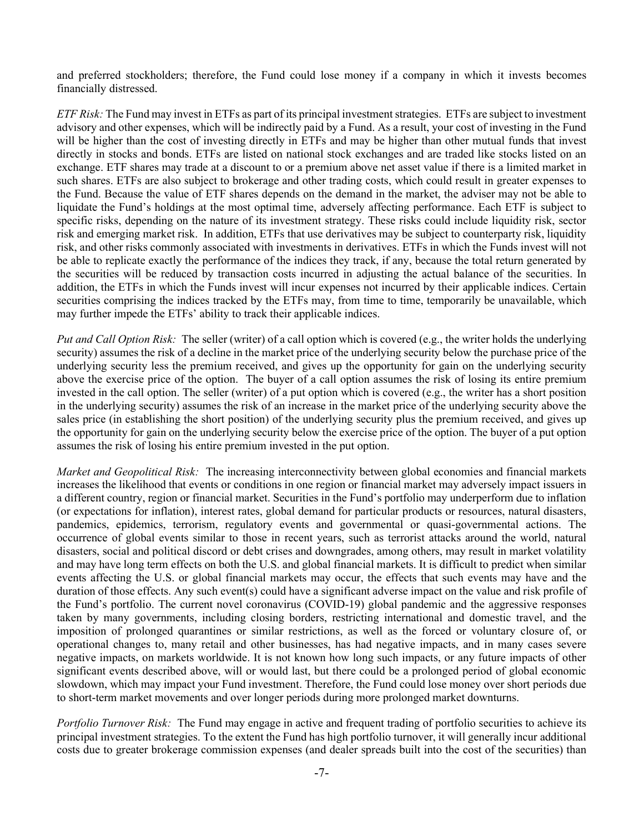and preferred stockholders; therefore, the Fund could lose money if a company in which it invests becomes financially distressed.

ETF Risk: The Fund may invest in ETFs as part of its principal investment strategies. ETFs are subject to investment advisory and other expenses, which will be indirectly paid by a Fund. As a result, your cost of investing in the Fund will be higher than the cost of investing directly in ETFs and may be higher than other mutual funds that invest directly in stocks and bonds. ETFs are listed on national stock exchanges and are traded like stocks listed on an exchange. ETF shares may trade at a discount to or a premium above net asset value if there is a limited market in such shares. ETFs are also subject to brokerage and other trading costs, which could result in greater expenses to the Fund. Because the value of ETF shares depends on the demand in the market, the adviser may not be able to liquidate the Fund's holdings at the most optimal time, adversely affecting performance. Each ETF is subject to specific risks, depending on the nature of its investment strategy. These risks could include liquidity risk, sector risk and emerging market risk. In addition, ETFs that use derivatives may be subject to counterparty risk, liquidity risk, and other risks commonly associated with investments in derivatives. ETFs in which the Funds invest will not be able to replicate exactly the performance of the indices they track, if any, because the total return generated by the securities will be reduced by transaction costs incurred in adjusting the actual balance of the securities. In addition, the ETFs in which the Funds invest will incur expenses not incurred by their applicable indices. Certain securities comprising the indices tracked by the ETFs may, from time to time, temporarily be unavailable, which may further impede the ETFs' ability to track their applicable indices.

Put and Call Option Risk: The seller (writer) of a call option which is covered (e.g., the writer holds the underlying security) assumes the risk of a decline in the market price of the underlying security below the purchase price of the underlying security less the premium received, and gives up the opportunity for gain on the underlying security above the exercise price of the option. The buyer of a call option assumes the risk of losing its entire premium invested in the call option. The seller (writer) of a put option which is covered (e.g., the writer has a short position in the underlying security) assumes the risk of an increase in the market price of the underlying security above the sales price (in establishing the short position) of the underlying security plus the premium received, and gives up the opportunity for gain on the underlying security below the exercise price of the option. The buyer of a put option assumes the risk of losing his entire premium invested in the put option.

Market and Geopolitical Risk: The increasing interconnectivity between global economies and financial markets increases the likelihood that events or conditions in one region or financial market may adversely impact issuers in a different country, region or financial market. Securities in the Fund's portfolio may underperform due to inflation (or expectations for inflation), interest rates, global demand for particular products or resources, natural disasters, pandemics, epidemics, terrorism, regulatory events and governmental or quasi-governmental actions. The occurrence of global events similar to those in recent years, such as terrorist attacks around the world, natural disasters, social and political discord or debt crises and downgrades, among others, may result in market volatility and may have long term effects on both the U.S. and global financial markets. It is difficult to predict when similar events affecting the U.S. or global financial markets may occur, the effects that such events may have and the duration of those effects. Any such event(s) could have a significant adverse impact on the value and risk profile of the Fund's portfolio. The current novel coronavirus (COVID-19) global pandemic and the aggressive responses taken by many governments, including closing borders, restricting international and domestic travel, and the imposition of prolonged quarantines or similar restrictions, as well as the forced or voluntary closure of, or operational changes to, many retail and other businesses, has had negative impacts, and in many cases severe negative impacts, on markets worldwide. It is not known how long such impacts, or any future impacts of other significant events described above, will or would last, but there could be a prolonged period of global economic slowdown, which may impact your Fund investment. Therefore, the Fund could lose money over short periods due to short-term market movements and over longer periods during more prolonged market downturns.

Portfolio Turnover Risk: The Fund may engage in active and frequent trading of portfolio securities to achieve its principal investment strategies. To the extent the Fund has high portfolio turnover, it will generally incur additional costs due to greater brokerage commission expenses (and dealer spreads built into the cost of the securities) than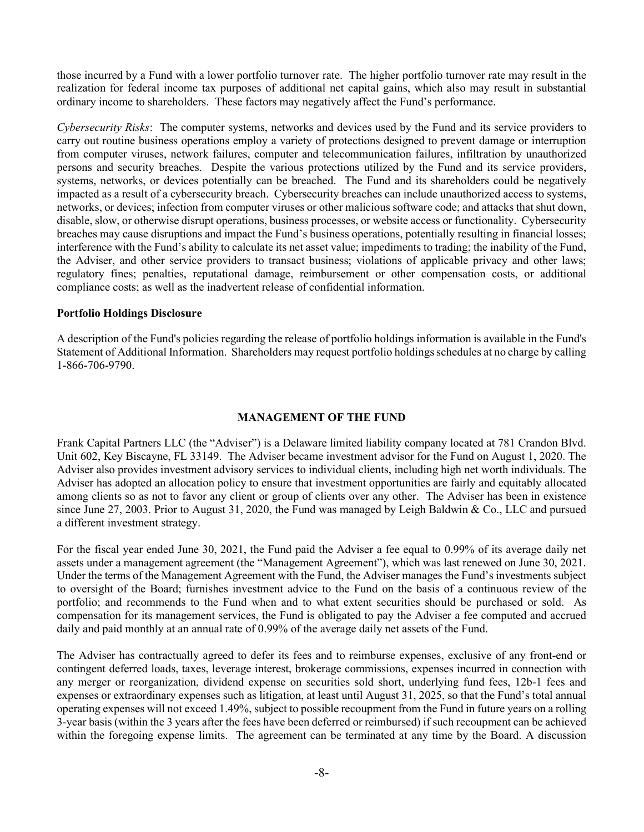those incurred by a Fund with a lower portfolio turnover rate. The higher portfolio turnover rate may result in the realization for federal income tax purposes of additional net capital gains, which also may result in substantial ordinary income to shareholders. These factors may negatively affect the Fund's performance.

Cybersecurity Risks: The computer systems, networks and devices used by the Fund and its service providers to carry out routine business operations employ a variety of protections designed to prevent damage or interruption from computer viruses, network failures, computer and telecommunication failures, infiltration by unauthorized persons and security breaches. Despite the various protections utilized by the Fund and its service providers, systems, networks, or devices potentially can be breached. The Fund and its shareholders could be negatively impacted as a result of a cybersecurity breach. Cybersecurity breaches can include unauthorized access to systems, networks, or devices; infection from computer viruses or other malicious software code; and attacks that shut down, disable, slow, or otherwise disrupt operations, business processes, or website access or functionality. Cybersecurity breaches may cause disruptions and impact the Fund's business operations, potentially resulting in financial losses; interference with the Fund's ability to calculate its net asset value; impediments to trading; the inability of the Fund, the Adviser, and other service providers to transact business; violations of applicable privacy and other laws; regulatory fines; penalties, reputational damage, reimbursement or other compensation costs, or additional compliance costs; as well as the inadvertent release of confidential information.

# Portfolio Holdings Disclosure

A description of the Fund's policies regarding the release of portfolio holdings information is available in the Fund's Statement of Additional Information. Shareholders may request portfolio holdings schedules at no charge by calling 1-866-706-9790.

# MANAGEMENT OF THE FUND

Frank Capital Partners LLC (the "Adviser") is a Delaware limited liability company located at 781 Crandon Blvd. Unit 602, Key Biscayne, FL 33149. The Adviser became investment advisor for the Fund on August 1, 2020. The Adviser also provides investment advisory services to individual clients, including high net worth individuals. The Adviser has adopted an allocation policy to ensure that investment opportunities are fairly and equitably allocated among clients so as not to favor any client or group of clients over any other. The Adviser has been in existence since June 27, 2003. Prior to August 31, 2020, the Fund was managed by Leigh Baldwin & Co., LLC and pursued a different investment strategy.

For the fiscal year ended June 30, 2021, the Fund paid the Adviser a fee equal to 0.99% of its average daily net assets under a management agreement (the "Management Agreement"), which was last renewed on June 30, 2021. Under the terms of the Management Agreement with the Fund, the Adviser manages the Fund's investments subject to oversight of the Board; furnishes investment advice to the Fund on the basis of a continuous review of the portfolio; and recommends to the Fund when and to what extent securities should be purchased or sold. As compensation for its management services, the Fund is obligated to pay the Adviser a fee computed and accrued daily and paid monthly at an annual rate of 0.99% of the average daily net assets of the Fund.

The Adviser has contractually agreed to defer its fees and to reimburse expenses, exclusive of any front-end or contingent deferred loads, taxes, leverage interest, brokerage commissions, expenses incurred in connection with any merger or reorganization, dividend expense on securities sold short, underlying fund fees, 12b-1 fees and expenses or extraordinary expenses such as litigation, at least until August 31, 2025, so that the Fund's total annual operating expenses will not exceed 1.49%, subject to possible recoupment from the Fund in future years on a rolling 3-year basis (within the 3 years after the fees have been deferred or reimbursed) if such recoupment can be achieved within the foregoing expense limits. The agreement can be terminated at any time by the Board. A discussion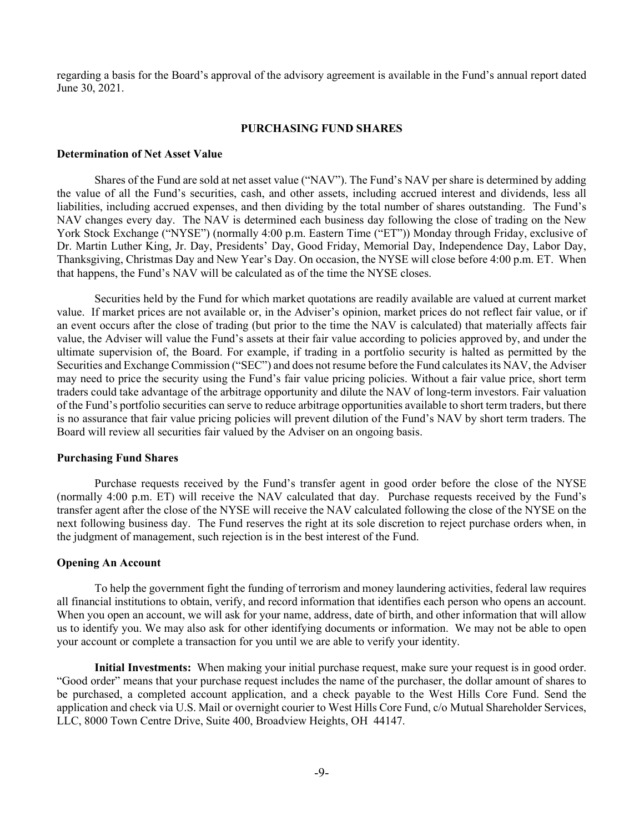regarding a basis for the Board's approval of the advisory agreement is available in the Fund's annual report dated June 30, 2021.

### PURCHASING FUND SHARES

### Determination of Net Asset Value

Shares of the Fund are sold at net asset value ("NAV"). The Fund's NAV per share is determined by adding the value of all the Fund's securities, cash, and other assets, including accrued interest and dividends, less all liabilities, including accrued expenses, and then dividing by the total number of shares outstanding. The Fund's NAV changes every day. The NAV is determined each business day following the close of trading on the New York Stock Exchange ("NYSE") (normally 4:00 p.m. Eastern Time ("ET")) Monday through Friday, exclusive of Dr. Martin Luther King, Jr. Day, Presidents' Day, Good Friday, Memorial Day, Independence Day, Labor Day, Thanksgiving, Christmas Day and New Year's Day. On occasion, the NYSE will close before 4:00 p.m. ET. When that happens, the Fund's NAV will be calculated as of the time the NYSE closes.

Securities held by the Fund for which market quotations are readily available are valued at current market value. If market prices are not available or, in the Adviser's opinion, market prices do not reflect fair value, or if an event occurs after the close of trading (but prior to the time the NAV is calculated) that materially affects fair value, the Adviser will value the Fund's assets at their fair value according to policies approved by, and under the ultimate supervision of, the Board. For example, if trading in a portfolio security is halted as permitted by the Securities and Exchange Commission ("SEC") and does not resume before the Fund calculates its NAV, the Adviser may need to price the security using the Fund's fair value pricing policies. Without a fair value price, short term traders could take advantage of the arbitrage opportunity and dilute the NAV of long-term investors. Fair valuation of the Fund's portfolio securities can serve to reduce arbitrage opportunities available to short term traders, but there is no assurance that fair value pricing policies will prevent dilution of the Fund's NAV by short term traders. The Board will review all securities fair valued by the Adviser on an ongoing basis.

#### Purchasing Fund Shares

Purchase requests received by the Fund's transfer agent in good order before the close of the NYSE (normally 4:00 p.m. ET) will receive the NAV calculated that day. Purchase requests received by the Fund's transfer agent after the close of the NYSE will receive the NAV calculated following the close of the NYSE on the next following business day. The Fund reserves the right at its sole discretion to reject purchase orders when, in the judgment of management, such rejection is in the best interest of the Fund.

### Opening An Account

To help the government fight the funding of terrorism and money laundering activities, federal law requires all financial institutions to obtain, verify, and record information that identifies each person who opens an account. When you open an account, we will ask for your name, address, date of birth, and other information that will allow us to identify you. We may also ask for other identifying documents or information. We may not be able to open your account or complete a transaction for you until we are able to verify your identity.

Initial Investments: When making your initial purchase request, make sure your request is in good order. "Good order" means that your purchase request includes the name of the purchaser, the dollar amount of shares to be purchased, a completed account application, and a check payable to the West Hills Core Fund. Send the application and check via U.S. Mail or overnight courier to West Hills Core Fund, c/o Mutual Shareholder Services, LLC, 8000 Town Centre Drive, Suite 400, Broadview Heights, OH 44147.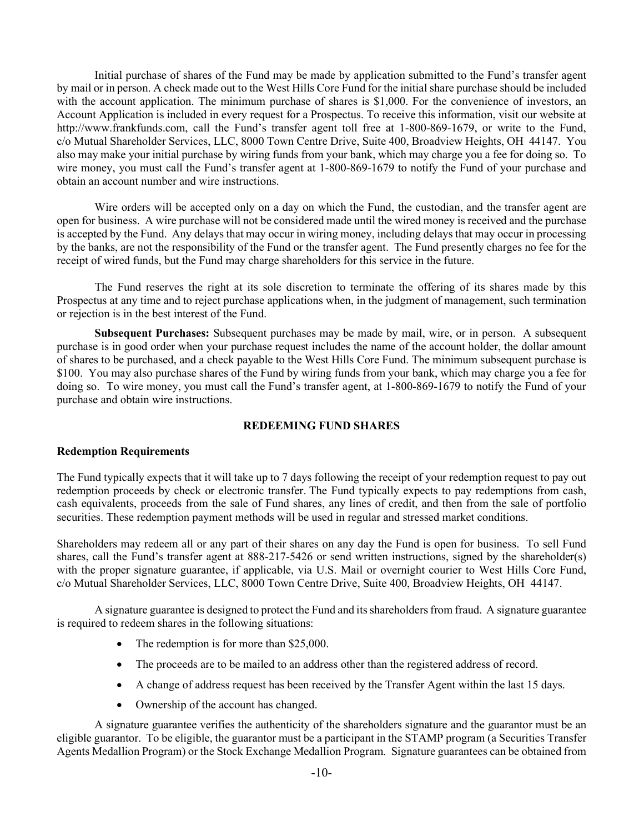Initial purchase of shares of the Fund may be made by application submitted to the Fund's transfer agent by mail or in person. A check made out to the West Hills Core Fund for the initial share purchase should be included with the account application. The minimum purchase of shares is \$1,000. For the convenience of investors, an Account Application is included in every request for a Prospectus. To receive this information, visit our website at http://www.frankfunds.com, call the Fund's transfer agent toll free at 1-800-869-1679, or write to the Fund, c/o Mutual Shareholder Services, LLC, 8000 Town Centre Drive, Suite 400, Broadview Heights, OH 44147. You also may make your initial purchase by wiring funds from your bank, which may charge you a fee for doing so. To wire money, you must call the Fund's transfer agent at 1-800-869-1679 to notify the Fund of your purchase and obtain an account number and wire instructions.

Wire orders will be accepted only on a day on which the Fund, the custodian, and the transfer agent are open for business. A wire purchase will not be considered made until the wired money is received and the purchase is accepted by the Fund. Any delays that may occur in wiring money, including delays that may occur in processing by the banks, are not the responsibility of the Fund or the transfer agent. The Fund presently charges no fee for the receipt of wired funds, but the Fund may charge shareholders for this service in the future.

 The Fund reserves the right at its sole discretion to terminate the offering of its shares made by this Prospectus at any time and to reject purchase applications when, in the judgment of management, such termination or rejection is in the best interest of the Fund.

Subsequent Purchases: Subsequent purchases may be made by mail, wire, or in person. A subsequent purchase is in good order when your purchase request includes the name of the account holder, the dollar amount of shares to be purchased, and a check payable to the West Hills Core Fund. The minimum subsequent purchase is \$100. You may also purchase shares of the Fund by wiring funds from your bank, which may charge you a fee for doing so. To wire money, you must call the Fund's transfer agent, at 1-800-869-1679 to notify the Fund of your purchase and obtain wire instructions.

# REDEEMING FUND SHARES

### Redemption Requirements

The Fund typically expects that it will take up to 7 days following the receipt of your redemption request to pay out redemption proceeds by check or electronic transfer. The Fund typically expects to pay redemptions from cash, cash equivalents, proceeds from the sale of Fund shares, any lines of credit, and then from the sale of portfolio securities. These redemption payment methods will be used in regular and stressed market conditions.

Shareholders may redeem all or any part of their shares on any day the Fund is open for business. To sell Fund shares, call the Fund's transfer agent at 888-217-5426 or send written instructions, signed by the shareholder(s) with the proper signature guarantee, if applicable, via U.S. Mail or overnight courier to West Hills Core Fund, c/o Mutual Shareholder Services, LLC, 8000 Town Centre Drive, Suite 400, Broadview Heights, OH 44147.

A signature guarantee is designed to protect the Fund and its shareholders from fraud. A signature guarantee is required to redeem shares in the following situations:

- The redemption is for more than \$25,000.
- The proceeds are to be mailed to an address other than the registered address of record.
- A change of address request has been received by the Transfer Agent within the last 15 days.
- Ownership of the account has changed.

A signature guarantee verifies the authenticity of the shareholders signature and the guarantor must be an eligible guarantor. To be eligible, the guarantor must be a participant in the STAMP program (a Securities Transfer Agents Medallion Program) or the Stock Exchange Medallion Program. Signature guarantees can be obtained from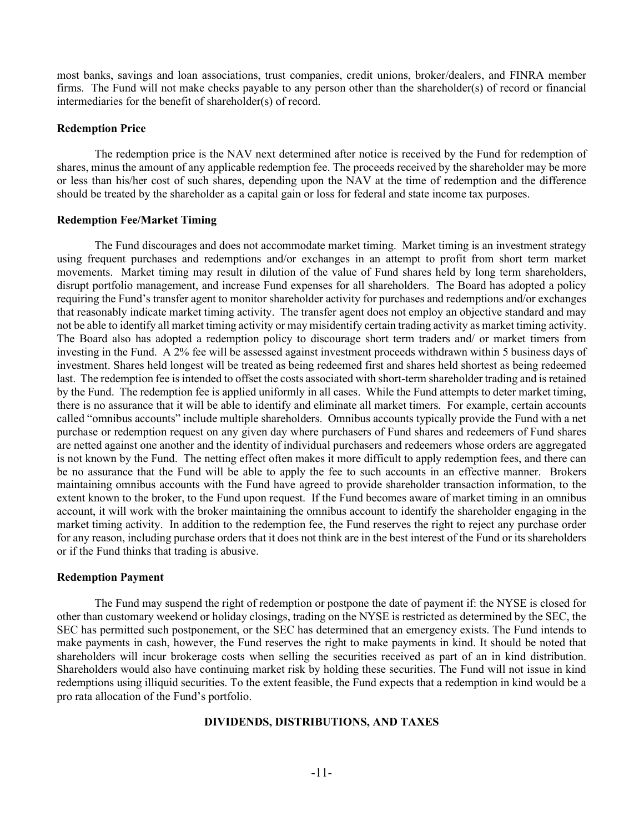most banks, savings and loan associations, trust companies, credit unions, broker/dealers, and FINRA member firms. The Fund will not make checks payable to any person other than the shareholder(s) of record or financial intermediaries for the benefit of shareholder(s) of record.

### Redemption Price

The redemption price is the NAV next determined after notice is received by the Fund for redemption of shares, minus the amount of any applicable redemption fee. The proceeds received by the shareholder may be more or less than his/her cost of such shares, depending upon the NAV at the time of redemption and the difference should be treated by the shareholder as a capital gain or loss for federal and state income tax purposes.

### Redemption Fee/Market Timing

The Fund discourages and does not accommodate market timing. Market timing is an investment strategy using frequent purchases and redemptions and/or exchanges in an attempt to profit from short term market movements. Market timing may result in dilution of the value of Fund shares held by long term shareholders, disrupt portfolio management, and increase Fund expenses for all shareholders. The Board has adopted a policy requiring the Fund's transfer agent to monitor shareholder activity for purchases and redemptions and/or exchanges that reasonably indicate market timing activity. The transfer agent does not employ an objective standard and may not be able to identify all market timing activity or may misidentify certain trading activity as market timing activity. The Board also has adopted a redemption policy to discourage short term traders and/ or market timers from investing in the Fund. A 2% fee will be assessed against investment proceeds withdrawn within 5 business days of investment. Shares held longest will be treated as being redeemed first and shares held shortest as being redeemed last. The redemption fee is intended to offset the costs associated with short-term shareholder trading and is retained by the Fund. The redemption fee is applied uniformly in all cases. While the Fund attempts to deter market timing, there is no assurance that it will be able to identify and eliminate all market timers. For example, certain accounts called "omnibus accounts" include multiple shareholders. Omnibus accounts typically provide the Fund with a net purchase or redemption request on any given day where purchasers of Fund shares and redeemers of Fund shares are netted against one another and the identity of individual purchasers and redeemers whose orders are aggregated is not known by the Fund. The netting effect often makes it more difficult to apply redemption fees, and there can be no assurance that the Fund will be able to apply the fee to such accounts in an effective manner. Brokers maintaining omnibus accounts with the Fund have agreed to provide shareholder transaction information, to the extent known to the broker, to the Fund upon request. If the Fund becomes aware of market timing in an omnibus account, it will work with the broker maintaining the omnibus account to identify the shareholder engaging in the market timing activity. In addition to the redemption fee, the Fund reserves the right to reject any purchase order for any reason, including purchase orders that it does not think are in the best interest of the Fund or its shareholders or if the Fund thinks that trading is abusive.

## Redemption Payment

The Fund may suspend the right of redemption or postpone the date of payment if: the NYSE is closed for other than customary weekend or holiday closings, trading on the NYSE is restricted as determined by the SEC, the SEC has permitted such postponement, or the SEC has determined that an emergency exists. The Fund intends to make payments in cash, however, the Fund reserves the right to make payments in kind. It should be noted that shareholders will incur brokerage costs when selling the securities received as part of an in kind distribution. Shareholders would also have continuing market risk by holding these securities. The Fund will not issue in kind redemptions using illiquid securities. To the extent feasible, the Fund expects that a redemption in kind would be a pro rata allocation of the Fund's portfolio.

## DIVIDENDS, DISTRIBUTIONS, AND TAXES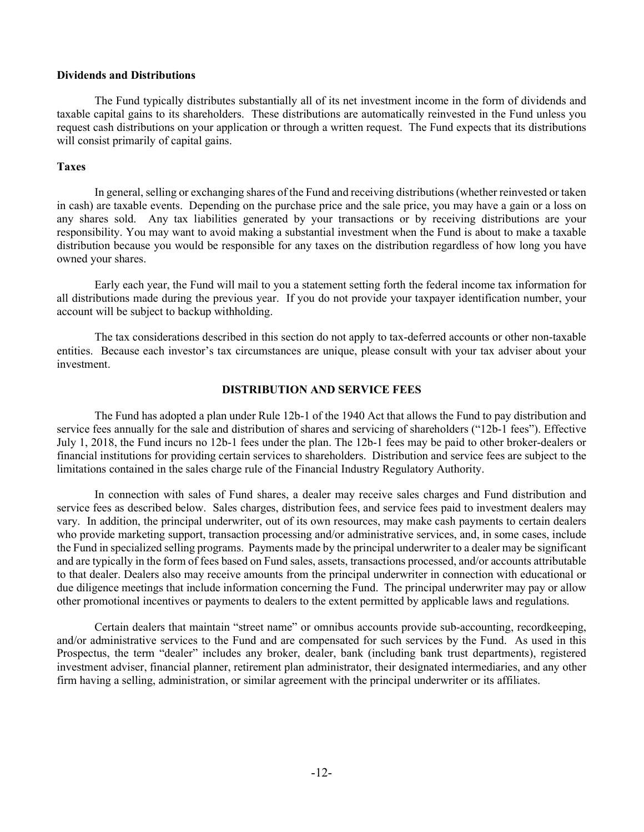### Dividends and Distributions

The Fund typically distributes substantially all of its net investment income in the form of dividends and taxable capital gains to its shareholders. These distributions are automatically reinvested in the Fund unless you request cash distributions on your application or through a written request. The Fund expects that its distributions will consist primarily of capital gains.

### Taxes

In general, selling or exchanging shares of the Fund and receiving distributions (whether reinvested or taken in cash) are taxable events. Depending on the purchase price and the sale price, you may have a gain or a loss on any shares sold. Any tax liabilities generated by your transactions or by receiving distributions are your responsibility. You may want to avoid making a substantial investment when the Fund is about to make a taxable distribution because you would be responsible for any taxes on the distribution regardless of how long you have owned your shares.

Early each year, the Fund will mail to you a statement setting forth the federal income tax information for all distributions made during the previous year. If you do not provide your taxpayer identification number, your account will be subject to backup withholding.

The tax considerations described in this section do not apply to tax-deferred accounts or other non-taxable entities. Because each investor's tax circumstances are unique, please consult with your tax adviser about your investment.

### DISTRIBUTION AND SERVICE FEES

The Fund has adopted a plan under Rule 12b-1 of the 1940 Act that allows the Fund to pay distribution and service fees annually for the sale and distribution of shares and servicing of shareholders ("12b-1 fees"). Effective July 1, 2018, the Fund incurs no 12b-1 fees under the plan. The 12b-1 fees may be paid to other broker-dealers or financial institutions for providing certain services to shareholders. Distribution and service fees are subject to the limitations contained in the sales charge rule of the Financial Industry Regulatory Authority.

In connection with sales of Fund shares, a dealer may receive sales charges and Fund distribution and service fees as described below. Sales charges, distribution fees, and service fees paid to investment dealers may vary. In addition, the principal underwriter, out of its own resources, may make cash payments to certain dealers who provide marketing support, transaction processing and/or administrative services, and, in some cases, include the Fund in specialized selling programs. Payments made by the principal underwriter to a dealer may be significant and are typically in the form of fees based on Fund sales, assets, transactions processed, and/or accounts attributable to that dealer. Dealers also may receive amounts from the principal underwriter in connection with educational or due diligence meetings that include information concerning the Fund. The principal underwriter may pay or allow other promotional incentives or payments to dealers to the extent permitted by applicable laws and regulations.

Certain dealers that maintain "street name" or omnibus accounts provide sub-accounting, recordkeeping, and/or administrative services to the Fund and are compensated for such services by the Fund. As used in this Prospectus, the term "dealer" includes any broker, dealer, bank (including bank trust departments), registered investment adviser, financial planner, retirement plan administrator, their designated intermediaries, and any other firm having a selling, administration, or similar agreement with the principal underwriter or its affiliates.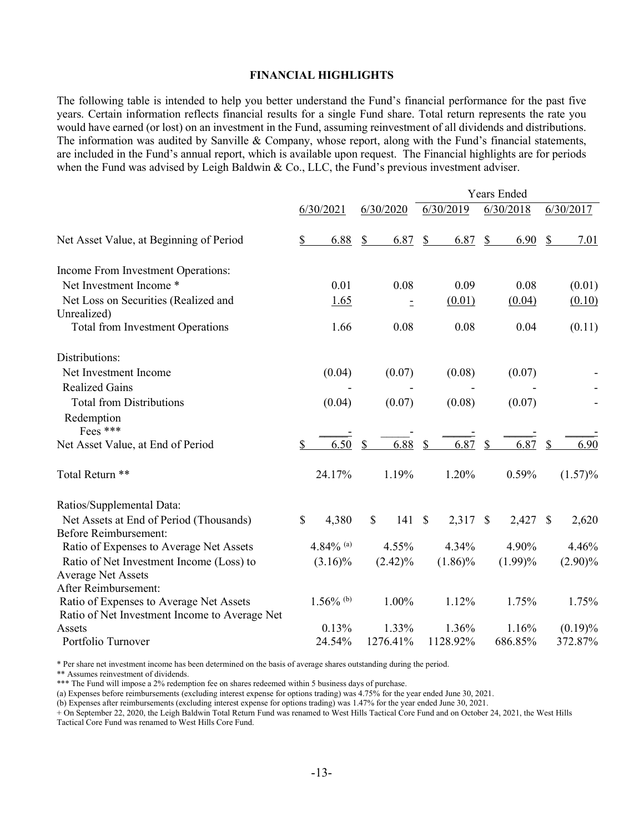## FINANCIAL HIGHLIGHTS

The following table is intended to help you better understand the Fund's financial performance for the past five years. Certain information reflects financial results for a single Fund share. Total return represents the rate you would have earned (or lost) on an investment in the Fund, assuming reinvestment of all dividends and distributions. The information was audited by Sanville & Company, whose report, along with the Fund's financial statements, are included in the Fund's annual report, which is available upon request. The Financial highlights are for periods when the Fund was advised by Leigh Baldwin & Co., LLC, the Fund's previous investment adviser.

|                                               |    |                         | <b>Years Ended</b> |               |            |               |            |              |            |
|-----------------------------------------------|----|-------------------------|--------------------|---------------|------------|---------------|------------|--------------|------------|
|                                               |    | 6/30/2021               | 6/30/2020          |               | 6/30/2019  |               | 6/30/2018  |              | 6/30/2017  |
| Net Asset Value, at Beginning of Period       | \$ | 6.88                    | \$<br>6.87         | \$            | 6.87       | $\frac{1}{2}$ | 6.90       | \$           | 7.01       |
| Income From Investment Operations:            |    |                         |                    |               |            |               |            |              |            |
| Net Investment Income *                       |    | 0.01                    | 0.08               |               | 0.09       |               | 0.08       |              | (0.01)     |
| Net Loss on Securities (Realized and          |    | 1.65                    | Ξ                  |               | (0.01)     |               | (0.04)     |              | (0.10)     |
| Unrealized)                                   |    |                         |                    |               |            |               |            |              |            |
| <b>Total from Investment Operations</b>       |    | 1.66                    | 0.08               |               | 0.08       |               | 0.04       |              | (0.11)     |
| Distributions:                                |    |                         |                    |               |            |               |            |              |            |
| Net Investment Income                         |    | (0.04)                  | (0.07)             |               | (0.08)     |               | (0.07)     |              |            |
| <b>Realized Gains</b>                         |    |                         |                    |               |            |               |            |              |            |
| <b>Total from Distributions</b>               |    | (0.04)                  | (0.07)             |               | (0.08)     |               | (0.07)     |              |            |
| Redemption                                    |    |                         |                    |               |            |               |            |              |            |
| Fees ***                                      |    |                         |                    |               |            |               |            |              |            |
| Net Asset Value, at End of Period             | S  | 6.50                    | \$<br>6.88         | <sup>\$</sup> | 6.87       | \$            | 6.87       | \$           | 6.90       |
| Total Return **                               |    | 24.17%                  | 1.19%              |               | 1.20%      |               | 0.59%      |              | $(1.57)\%$ |
| Ratios/Supplemental Data:                     |    |                         |                    |               |            |               |            |              |            |
| Net Assets at End of Period (Thousands)       | \$ | 4,380                   | \$<br>141S         |               | 2,317      | $\mathbb{S}$  | 2,427      | $\mathbb{S}$ | 2,620      |
| <b>Before Reimbursement:</b>                  |    |                         |                    |               |            |               |            |              |            |
| Ratio of Expenses to Average Net Assets       |    | 4.84% (a)               | 4.55%              |               | 4.34%      |               | 4.90%      |              | 4.46%      |
| Ratio of Net Investment Income (Loss) to      |    | $(3.16)\%$              | $(2.42)\%$         |               | $(1.86)\%$ |               | $(1.99)\%$ |              | $(2.90)\%$ |
| <b>Average Net Assets</b>                     |    |                         |                    |               |            |               |            |              |            |
| After Reimbursement:                          |    |                         |                    |               |            |               |            |              |            |
| Ratio of Expenses to Average Net Assets       |    | $1.56\%$ <sup>(b)</sup> | 1.00%              |               | 1.12%      |               | 1.75%      |              | 1.75%      |
| Ratio of Net Investment Income to Average Net |    |                         |                    |               |            |               |            |              |            |
| Assets                                        |    | 0.13%                   | 1.33%              |               | 1.36%      |               | 1.16%      |              | $(0.19)\%$ |
| Portfolio Turnover                            |    | 24.54%                  | 1276.41%           |               | 1128.92%   |               | 686.85%    |              | 372.87%    |

\* Per share net investment income has been determined on the basis of average shares outstanding during the period.

\*\* Assumes reinvestment of dividends.

\*\*\* The Fund will impose a 2% redemption fee on shares redeemed within 5 business days of purchase.

(a) Expenses before reimbursements (excluding interest expense for options trading) was 4.75% for the year ended June 30, 2021.

(b) Expenses after reimbursements (excluding interest expense for options trading) was 1.47% for the year ended June 30, 2021.

+ On September 22, 2020, the Leigh Baldwin Total Return Fund was renamed to West Hills Tactical Core Fund and on October 24, 2021, the West Hills Tactical Core Fund was renamed to West Hills Core Fund.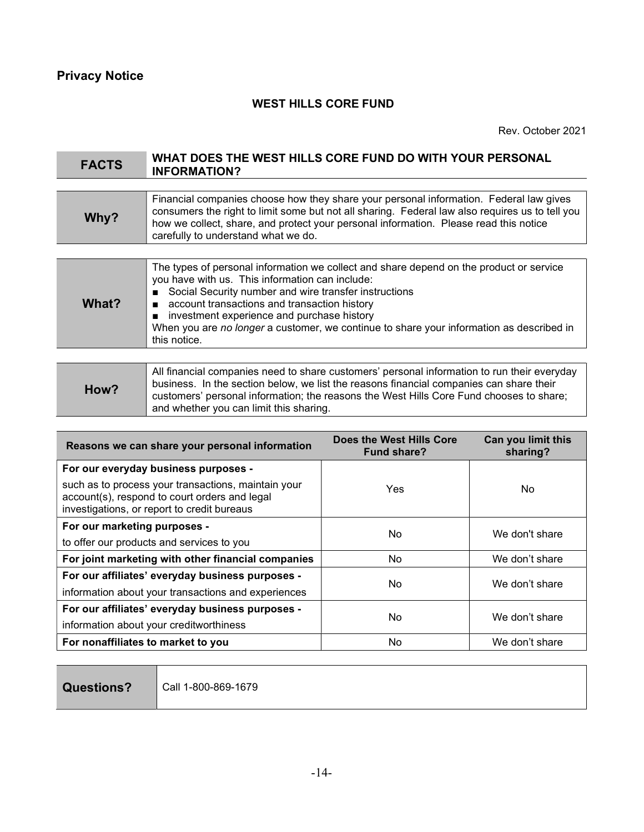# WEST HILLS CORE FUND

Rev. October 2021

# FACTS WHAT DOES THE WEST HILLS CORE FUND DO WITH YOUR PERSONAL INFORMATION?

| Why? | Financial companies choose how they share your personal information. Federal law gives<br>consumers the right to limit some but not all sharing. Federal law also requires us to tell you<br>how we collect, share, and protect your personal information. Please read this notice<br>carefully to understand what we do. |
|------|---------------------------------------------------------------------------------------------------------------------------------------------------------------------------------------------------------------------------------------------------------------------------------------------------------------------------|
|------|---------------------------------------------------------------------------------------------------------------------------------------------------------------------------------------------------------------------------------------------------------------------------------------------------------------------------|

| The types of personal information we collect and share depend on the product or service<br>you have with us. This information can include:<br>■ Social Security number and wire transfer instructions<br>What?<br>■ account transactions and transaction history<br>■ investment experience and purchase history<br>When you are no longer a customer, we continue to share your information as described in<br>this notice. |
|------------------------------------------------------------------------------------------------------------------------------------------------------------------------------------------------------------------------------------------------------------------------------------------------------------------------------------------------------------------------------------------------------------------------------|
|                                                                                                                                                                                                                                                                                                                                                                                                                              |

| How? | All financial companies need to share customers' personal information to run their everyday<br>business. In the section below, we list the reasons financial companies can share their<br>customers' personal information; the reasons the West Hills Core Fund chooses to share;<br>and whether you can limit this sharing. |
|------|------------------------------------------------------------------------------------------------------------------------------------------------------------------------------------------------------------------------------------------------------------------------------------------------------------------------------|
|------|------------------------------------------------------------------------------------------------------------------------------------------------------------------------------------------------------------------------------------------------------------------------------------------------------------------------------|

| Reasons we can share your personal information                                                                                                      | Does the West Hills Core<br>Fund share? | Can you limit this<br>sharing? |  |  |  |
|-----------------------------------------------------------------------------------------------------------------------------------------------------|-----------------------------------------|--------------------------------|--|--|--|
| For our everyday business purposes -                                                                                                                |                                         |                                |  |  |  |
| such as to process your transactions, maintain your<br>account(s), respond to court orders and legal<br>investigations, or report to credit bureaus | Yes                                     | No.                            |  |  |  |
| For our marketing purposes -                                                                                                                        | No.                                     | We don't share                 |  |  |  |
| to offer our products and services to you                                                                                                           |                                         |                                |  |  |  |
| For joint marketing with other financial companies                                                                                                  | No.                                     | We don't share                 |  |  |  |
| For our affiliates' everyday business purposes -                                                                                                    |                                         |                                |  |  |  |
| information about your transactions and experiences                                                                                                 | No.                                     | We don't share                 |  |  |  |
| For our affiliates' everyday business purposes -                                                                                                    |                                         |                                |  |  |  |
| information about your creditworthiness                                                                                                             | No.                                     | We don't share                 |  |  |  |
| For nonaffiliates to market to you                                                                                                                  | No.                                     | We don't share                 |  |  |  |

Questions? | Call 1-800-869-1679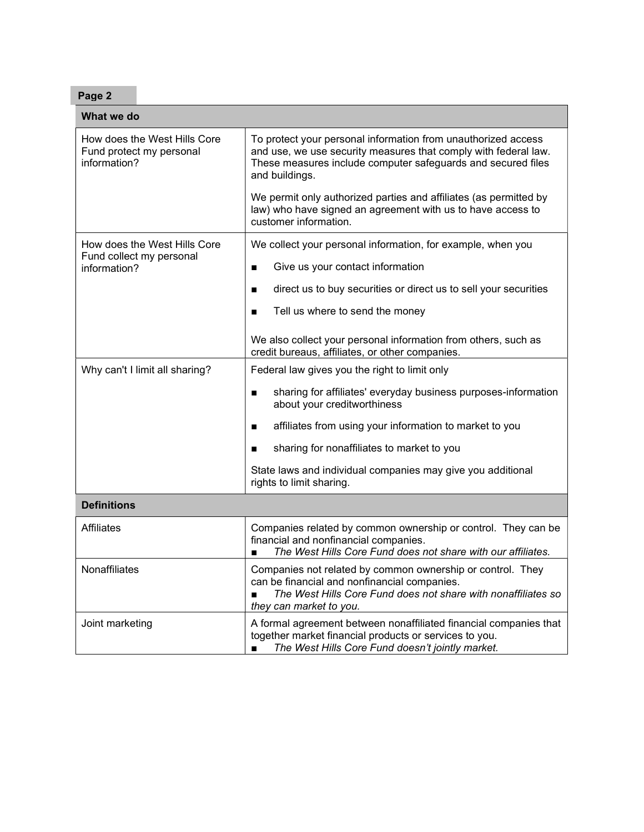| ae z<br>٠<br>r<br>سد |
|----------------------|
|----------------------|

| What we do                                                               |                                                                                                                                                                                                                          |  |  |  |  |
|--------------------------------------------------------------------------|--------------------------------------------------------------------------------------------------------------------------------------------------------------------------------------------------------------------------|--|--|--|--|
| How does the West Hills Core<br>Fund protect my personal<br>information? | To protect your personal information from unauthorized access<br>and use, we use security measures that comply with federal law.<br>These measures include computer safeguards and secured files<br>and buildings.       |  |  |  |  |
|                                                                          | We permit only authorized parties and affiliates (as permitted by<br>law) who have signed an agreement with us to have access to<br>customer information.                                                                |  |  |  |  |
| How does the West Hills Core                                             | We collect your personal information, for example, when you                                                                                                                                                              |  |  |  |  |
| Fund collect my personal<br>information?                                 | Give us your contact information<br>■                                                                                                                                                                                    |  |  |  |  |
|                                                                          | direct us to buy securities or direct us to sell your securities<br>■                                                                                                                                                    |  |  |  |  |
|                                                                          | Tell us where to send the money<br>■                                                                                                                                                                                     |  |  |  |  |
|                                                                          | We also collect your personal information from others, such as<br>credit bureaus, affiliates, or other companies.                                                                                                        |  |  |  |  |
| Why can't I limit all sharing?                                           | Federal law gives you the right to limit only                                                                                                                                                                            |  |  |  |  |
|                                                                          | sharing for affiliates' everyday business purposes-information<br>■<br>about your creditworthiness                                                                                                                       |  |  |  |  |
|                                                                          | affiliates from using your information to market to you                                                                                                                                                                  |  |  |  |  |
|                                                                          | sharing for nonaffiliates to market to you                                                                                                                                                                               |  |  |  |  |
|                                                                          | State laws and individual companies may give you additional<br>rights to limit sharing.                                                                                                                                  |  |  |  |  |
| <b>Definitions</b>                                                       |                                                                                                                                                                                                                          |  |  |  |  |
| <b>Affiliates</b>                                                        | Companies related by common ownership or control. They can be<br>financial and nonfinancial companies.<br>The West Hills Core Fund does not share with our affiliates.                                                   |  |  |  |  |
| Nonaffiliates                                                            | Companies not related by common ownership or control. They<br>can be financial and nonfinancial companies.<br>The West Hills Core Fund does not share with nonaffiliates so<br>$\blacksquare$<br>they can market to you. |  |  |  |  |
| Joint marketing                                                          | A formal agreement between nonaffiliated financial companies that<br>together market financial products or services to you.<br>The West Hills Core Fund doesn't jointly market.<br>$\blacksquare$                        |  |  |  |  |